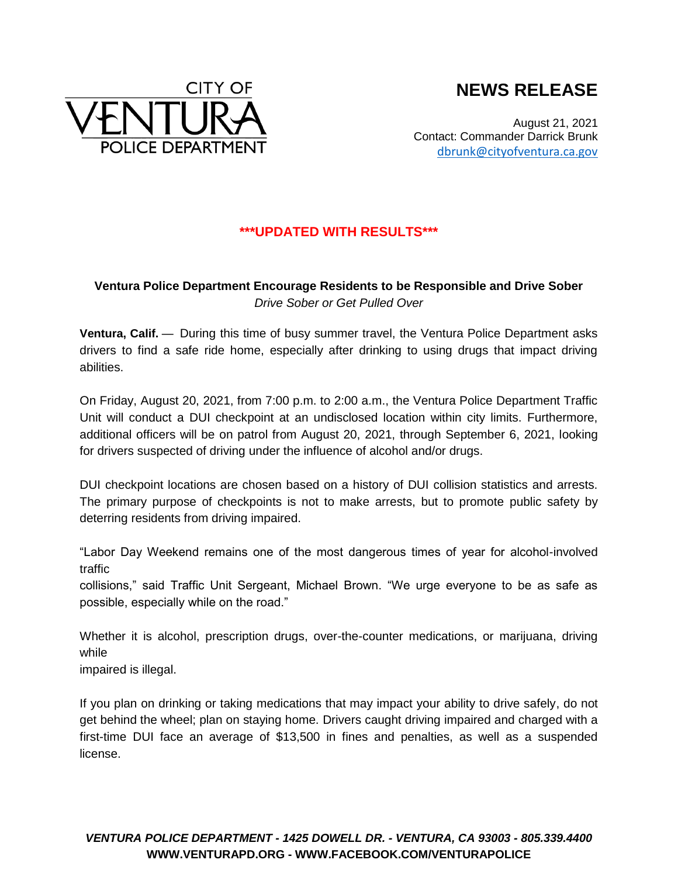



August 21, 2021 Contact: Commander Darrick Brunk [dbrunk@cityofventura.ca.gov](mailto:dbrunk@cityofventura.ca.gov)

## **\*\*\*UPDATED WITH RESULTS\*\*\***

## **Ventura Police Department Encourage Residents to be Responsible and Drive Sober** *Drive Sober or Get Pulled Over*

**Ventura, Calif.** — During this time of busy summer travel, the Ventura Police Department asks drivers to find a safe ride home, especially after drinking to using drugs that impact driving abilities.

On Friday, August 20, 2021, from 7:00 p.m. to 2:00 a.m., the Ventura Police Department Traffic Unit will conduct a DUI checkpoint at an undisclosed location within city limits. Furthermore, additional officers will be on patrol from August 20, 2021, through September 6, 2021, looking for drivers suspected of driving under the influence of alcohol and/or drugs.

DUI checkpoint locations are chosen based on a history of DUI collision statistics and arrests. The primary purpose of checkpoints is not to make arrests, but to promote public safety by deterring residents from driving impaired.

"Labor Day Weekend remains one of the most dangerous times of year for alcohol-involved traffic

collisions," said Traffic Unit Sergeant, Michael Brown. "We urge everyone to be as safe as possible, especially while on the road."

Whether it is alcohol, prescription drugs, over-the-counter medications, or marijuana, driving while

impaired is illegal.

If you plan on drinking or taking medications that may impact your ability to drive safely, do not get behind the wheel; plan on staying home. Drivers caught driving impaired and charged with a first-time DUI face an average of \$13,500 in fines and penalties, as well as a suspended license.

*VENTURA POLICE DEPARTMENT - 1425 DOWELL DR. - VENTURA, CA 93003 - 805.339.4400* **WWW.VENTURAPD.ORG - WWW.FACEBOOK.COM/VENTURAPOLICE**